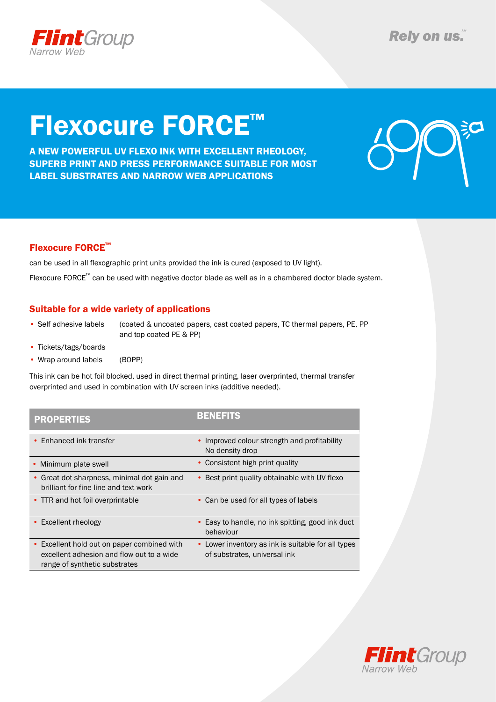

# Flexocure FORCE™

A NEW Powerful uv flexo ink with excellent rheology, superb print and press performance suitable for most label substrates and narrow web applications



### Flexocure FORCE™

can be used in all flexographic print units provided the ink is cured (exposed to UV light).

Flexocure FORCE™ can be used with negative doctor blade as well as in a chambered doctor blade system.

### Suitable for a wide variety of applications

• Self adhesive labels (coated & uncoated papers, cast coated papers, TC thermal papers, PE, PP and top coated PE & PP)

- Tickets/tags/boards
- Wrap around labels (BOPP)

This ink can be hot foil blocked, used in direct thermal printing, laser overprinted, thermal transfer overprinted and used in combination with UV screen inks (additive needed).

| <b>PROPERTIES</b>                                                                                                                    | <b>BENEFITS</b>                                                                    |
|--------------------------------------------------------------------------------------------------------------------------------------|------------------------------------------------------------------------------------|
| • Enhanced ink transfer                                                                                                              | • Improved colour strength and profitability<br>No density drop                    |
| Minimum plate swell                                                                                                                  | • Consistent high print quality                                                    |
| • Great dot sharpness, minimal dot gain and<br>brilliant for fine line and text work                                                 | • Best print quality obtainable with UV flexo                                      |
| • TTR and hot foil overprintable                                                                                                     | • Can be used for all types of labels                                              |
| • Excellent rheology                                                                                                                 | • Easy to handle, no ink spitting, good ink duct<br>behaviour                      |
| Excellent hold out on paper combined with<br>$\bullet$<br>excellent adhesion and flow out to a wide<br>range of synthetic substrates | • Lower inventory as ink is suitable for all types<br>of substrates, universal ink |